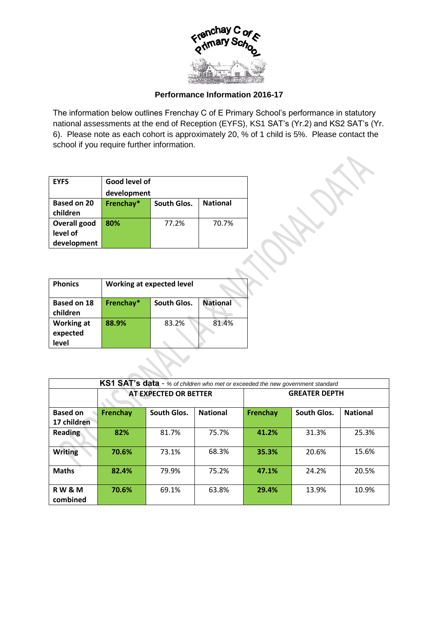

## **Performance Information 2016-17**

The information below outlines Frenchay C of E Primary School's performance in statutory national assessments at the end of Reception (EYFS), KS1 SAT's (Yr.2) and KS2 SAT's (Yr. 6). Please note as each cohort is approximately 20, % of 1 child is 5%. Please contact the school if you require further information.

| <b>EYFS</b>         | Good level of                               |       |       |  |  |
|---------------------|---------------------------------------------|-------|-------|--|--|
|                     | development                                 |       |       |  |  |
| <b>Based on 20</b>  | Frenchay*<br>South Glos.<br><b>National</b> |       |       |  |  |
| children            |                                             |       |       |  |  |
| <b>Overall good</b> | 80%                                         | 77.2% | 70.7% |  |  |
| level of            |                                             |       |       |  |  |
| development         |                                             |       |       |  |  |

| <b>Phonics</b>                         | <b>Working at expected level</b> |             |                 |  |
|----------------------------------------|----------------------------------|-------------|-----------------|--|
| <b>Based on 18</b><br>children         | Frenchay*                        | South Glos. | <b>National</b> |  |
| <b>Working at</b><br>expected<br>level | 88.9%                            | 83.2%       | 81.4%           |  |

| KS1 SAT's data - % of children who met or exceeded the new government standard |                       |             |                 |                      |             |                 |
|--------------------------------------------------------------------------------|-----------------------|-------------|-----------------|----------------------|-------------|-----------------|
|                                                                                | AT EXPECTED OR BETTER |             |                 | <b>GREATER DEPTH</b> |             |                 |
| <b>Based on</b><br>17 children                                                 | Frenchay              | South Glos. | <b>National</b> | Frenchay             | South Glos. | <b>National</b> |
| <b>Reading</b>                                                                 | 82%                   | 81.7%       | 75.7%           | 41.2%                | 31.3%       | 25.3%           |
| <b>Writing</b>                                                                 | 70.6%                 | 73.1%       | 68.3%           | 35.3%                | 20.6%       | 15.6%           |
| <b>Maths</b>                                                                   | 82.4%                 | 79.9%       | 75.2%           | 47.1%                | 24.2%       | 20.5%           |
| RW&M<br>combined                                                               | 70.6%                 | 69.1%       | 63.8%           | 29.4%                | 13.9%       | 10.9%           |